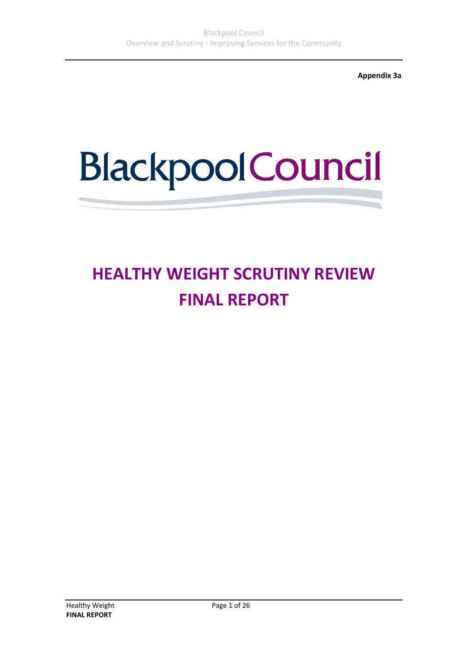**Appendix 3a**

# **Blackpool Council**

# **HEALTHY WEIGHT SCRUTINY REVIEW FINAL REPORT**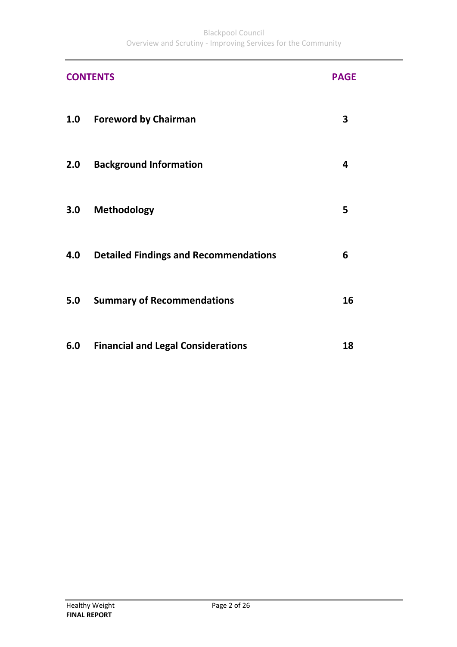|     | <b>CONTENTS</b>                              | <b>PAGE</b> |
|-----|----------------------------------------------|-------------|
| 1.0 | <b>Foreword by Chairman</b>                  | 3           |
| 2.0 | <b>Background Information</b>                | 4           |
| 3.0 | Methodology                                  | 5           |
| 4.0 | <b>Detailed Findings and Recommendations</b> | 6           |
| 5.0 | <b>Summary of Recommendations</b>            | 16          |
| 6.0 | <b>Financial and Legal Considerations</b>    | 18          |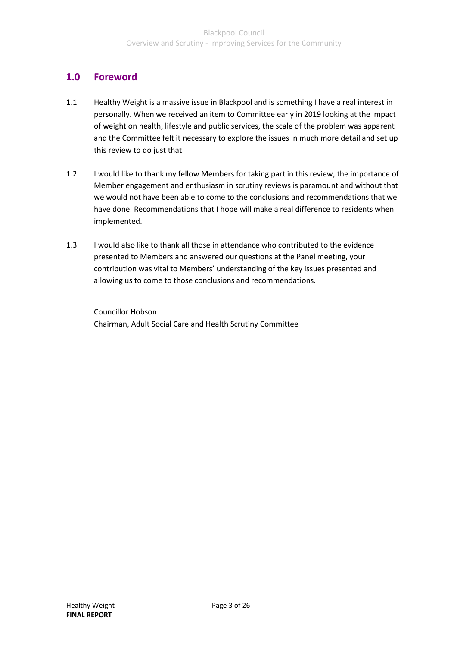## **1.0 Foreword**

- 1.1 Healthy Weight is a massive issue in Blackpool and is something I have a real interest in personally. When we received an item to Committee early in 2019 looking at the impact of weight on health, lifestyle and public services, the scale of the problem was apparent and the Committee felt it necessary to explore the issues in much more detail and set up this review to do just that.
- 1.2 I would like to thank my fellow Members for taking part in this review, the importance of Member engagement and enthusiasm in scrutiny reviews is paramount and without that we would not have been able to come to the conclusions and recommendations that we have done. Recommendations that I hope will make a real difference to residents when implemented.
- 1.3 I would also like to thank all those in attendance who contributed to the evidence presented to Members and answered our questions at the Panel meeting, your contribution was vital to Members' understanding of the key issues presented and allowing us to come to those conclusions and recommendations.

Councillor Hobson Chairman, Adult Social Care and Health Scrutiny Committee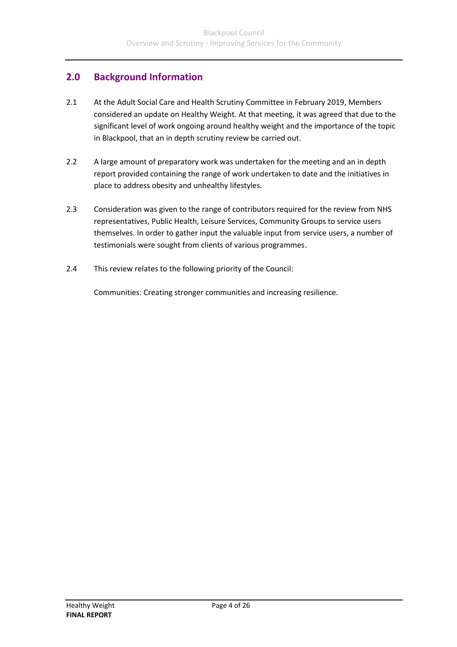# **2.0 Background Information**

- 2.1 At the Adult Social Care and Health Scrutiny Committee in February 2019, Members considered an update on Healthy Weight. At that meeting, it was agreed that due to the significant level of work ongoing around healthy weight and the importance of the topic in Blackpool, that an in depth scrutiny review be carried out.
- 2.2 A large amount of preparatory work was undertaken for the meeting and an in depth report provided containing the range of work undertaken to date and the initiatives in place to address obesity and unhealthy lifestyles.
- 2.3 Consideration was given to the range of contributors required for the review from NHS representatives, Public Health, Leisure Services, Community Groups to service users themselves. In order to gather input the valuable input from service users, a number of testimonials were sought from clients of various programmes.
- 2.4 This review relates to the following priority of the Council:

Communities: Creating stronger communities and increasing resilience.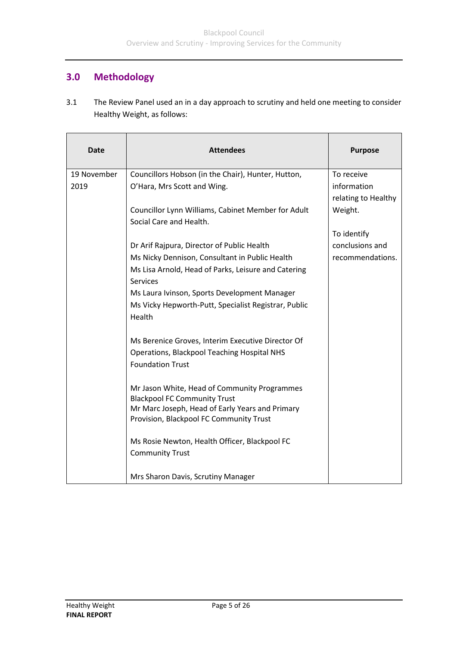# **3.0 Methodology**

3.1 The Review Panel used an in a day approach to scrutiny and held one meeting to consider Healthy Weight, as follows:

| <b>Date</b> | <b>Attendees</b>                                                                    | <b>Purpose</b>      |
|-------------|-------------------------------------------------------------------------------------|---------------------|
| 19 November | Councillors Hobson (in the Chair), Hunter, Hutton,                                  | To receive          |
| 2019        | O'Hara, Mrs Scott and Wing.                                                         | information         |
|             |                                                                                     | relating to Healthy |
|             | Councillor Lynn Williams, Cabinet Member for Adult                                  | Weight.             |
|             | Social Care and Health.                                                             |                     |
|             |                                                                                     | To identify         |
|             | Dr Arif Rajpura, Director of Public Health                                          | conclusions and     |
|             | Ms Nicky Dennison, Consultant in Public Health                                      | recommendations.    |
|             | Ms Lisa Arnold, Head of Parks, Leisure and Catering                                 |                     |
|             | <b>Services</b>                                                                     |                     |
|             | Ms Laura Ivinson, Sports Development Manager                                        |                     |
|             | Ms Vicky Hepworth-Putt, Specialist Registrar, Public                                |                     |
|             | Health                                                                              |                     |
|             | Ms Berenice Groves, Interim Executive Director Of                                   |                     |
|             | <b>Operations, Blackpool Teaching Hospital NHS</b>                                  |                     |
|             | <b>Foundation Trust</b>                                                             |                     |
|             | Mr Jason White, Head of Community Programmes<br><b>Blackpool FC Community Trust</b> |                     |
|             | Mr Marc Joseph, Head of Early Years and Primary                                     |                     |
|             | Provision, Blackpool FC Community Trust                                             |                     |
|             | Ms Rosie Newton, Health Officer, Blackpool FC                                       |                     |
|             | <b>Community Trust</b>                                                              |                     |
|             | Mrs Sharon Davis, Scrutiny Manager                                                  |                     |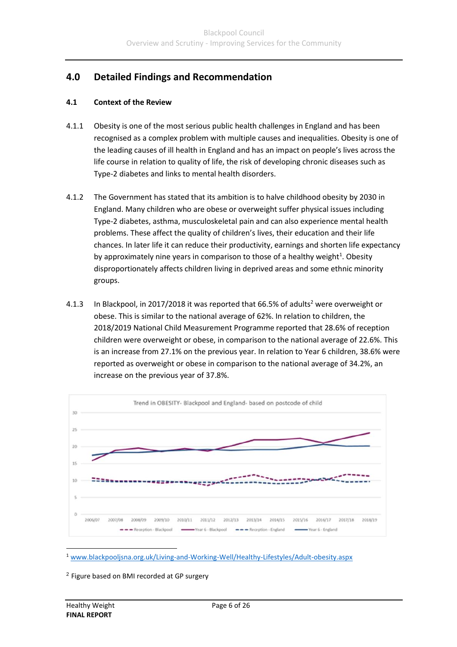# **4.0 Detailed Findings and Recommendation**

#### **4.1 Context of the Review**

- 4.1.1 Obesity is one of the most serious public health challenges in England and has been recognised as a complex problem with multiple causes and inequalities. Obesity is one of the leading causes of ill health in England and has an impact on people's lives across the life course in relation to quality of life, the risk of developing chronic diseases such as Type-2 diabetes and links to mental health disorders.
- 4.1.2 The Government has stated that its ambition is to halve childhood obesity by 2030 in England. Many children who are obese or overweight suffer physical issues including Type-2 diabetes, asthma, musculoskeletal pain and can also experience mental health problems. These affect the quality of children's lives, their education and their life chances. In later life it can reduce their productivity, earnings and shorten life expectancy by approximately nine years in comparison to those of a healthy weight<sup>1</sup>. Obesity disproportionately affects children living in deprived areas and some ethnic minority groups.
- 4.1.3 In Blackpool, in 2017/2018 it was reported that 66.5% of adults<sup>2</sup> were overweight or obese. This is similar to the national average of 62%. In relation to children, the 2018/2019 National Child Measurement Programme reported that 28.6% of reception children were overweight or obese, in comparison to the national average of 22.6%. This is an increase from 27.1% on the previous year. In relation to Year 6 children, 38.6% were reported as overweight or obese in comparison to the national average of 34.2%, an increase on the previous year of 37.8%.



<sup>1</sup> [www.blackpooljsna.org.uk/Living-and-Working-Well/Healthy-Lifestyles/Adult-obesity.aspx](http://www.blackpooljsna.org.uk/Living-and-Working-Well/Healthy-Lifestyles/Adult-obesity.aspx)

<sup>2</sup> Figure based on BMI recorded at GP surgery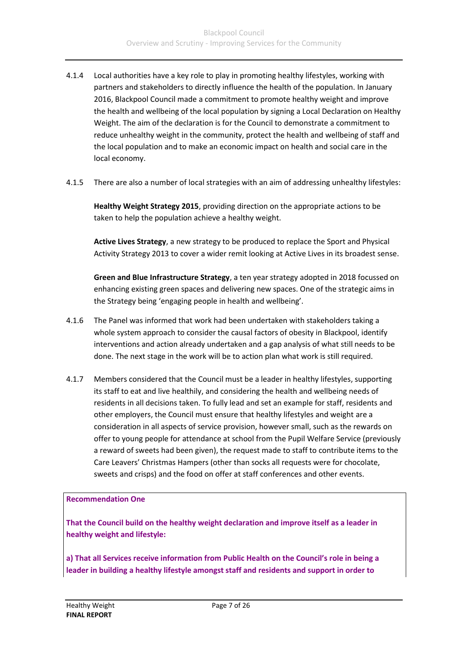- 4.1.4 Local authorities have a key role to play in promoting healthy lifestyles, working with partners and stakeholders to directly influence the health of the population. In January 2016, Blackpool Council made a commitment to promote healthy weight and improve the health and wellbeing of the local population by signing a Local Declaration on Healthy Weight. The aim of the declaration is for the Council to demonstrate a commitment to reduce unhealthy weight in the community, protect the health and wellbeing of staff and the local population and to make an economic impact on health and social care in the local economy.
- 4.1.5 There are also a number of local strategies with an aim of addressing unhealthy lifestyles:

**Healthy Weight Strategy 2015**, providing direction on the appropriate actions to be taken to help the population achieve a healthy weight.

**Active Lives Strategy**, a new strategy to be produced to replace the Sport and Physical Activity Strategy 2013 to cover a wider remit looking at Active Lives in its broadest sense.

**Green and Blue Infrastructure Strategy**, a ten year strategy adopted in 2018 focussed on enhancing existing green spaces and delivering new spaces. One of the strategic aims in the Strategy being 'engaging people in health and wellbeing'.

- 4.1.6 The Panel was informed that work had been undertaken with stakeholders taking a whole system approach to consider the causal factors of obesity in Blackpool, identify interventions and action already undertaken and a gap analysis of what still needs to be done. The next stage in the work will be to action plan what work is still required.
- 4.1.7 Members considered that the Council must be a leader in healthy lifestyles, supporting its staff to eat and live healthily, and considering the health and wellbeing needs of residents in all decisions taken. To fully lead and set an example for staff, residents and other employers, the Council must ensure that healthy lifestyles and weight are a consideration in all aspects of service provision, however small, such as the rewards on offer to young people for attendance at school from the Pupil Welfare Service (previously a reward of sweets had been given), the request made to staff to contribute items to the Care Leavers' Christmas Hampers (other than socks all requests were for chocolate, sweets and crisps) and the food on offer at staff conferences and other events.

#### **Recommendation One**

**That the Council build on the healthy weight declaration and improve itself as a leader in healthy weight and lifestyle:**

**a) That all Services receive information from Public Health on the Council's role in being a leader in building a healthy lifestyle amongst staff and residents and support in order to**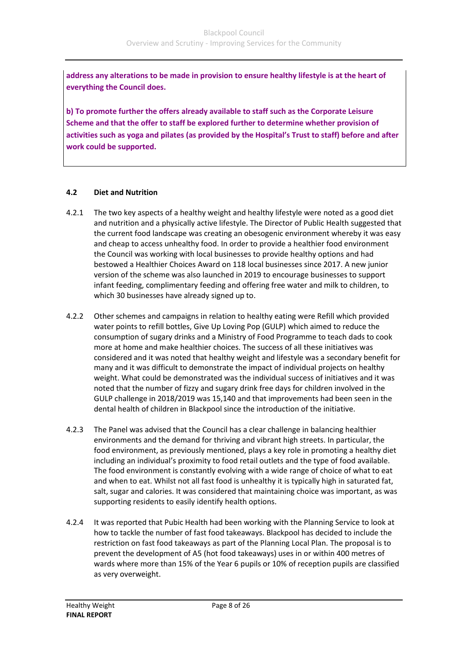**address any alterations to be made in provision to ensure healthy lifestyle is at the heart of everything the Council does.**

**b) To promote further the offers already available to staff such as the Corporate Leisure Scheme and that the offer to staff be explored further to determine whether provision of activities such as yoga and pilates (as provided by the Hospital's Trust to staff) before and after work could be supported.**

#### **4.2 Diet and Nutrition**

- 4.2.1 The two key aspects of a healthy weight and healthy lifestyle were noted as a good diet and nutrition and a physically active lifestyle. The Director of Public Health suggested that the current food landscape was creating an obesogenic environment whereby it was easy and cheap to access unhealthy food. In order to provide a healthier food environment the Council was working with local businesses to provide healthy options and had bestowed a Healthier Choices Award on 118 local businesses since 2017. A new junior version of the scheme was also launched in 2019 to encourage businesses to support infant feeding, complimentary feeding and offering free water and milk to children, to which 30 businesses have already signed up to.
- 4.2.2 Other schemes and campaigns in relation to healthy eating were Refill which provided water points to refill bottles, Give Up Loving Pop (GULP) which aimed to reduce the consumption of sugary drinks and a Ministry of Food Programme to teach dads to cook more at home and make healthier choices. The success of all these initiatives was considered and it was noted that healthy weight and lifestyle was a secondary benefit for many and it was difficult to demonstrate the impact of individual projects on healthy weight. What could be demonstrated was the individual success of initiatives and it was noted that the number of fizzy and sugary drink free days for children involved in the GULP challenge in 2018/2019 was 15,140 and that improvements had been seen in the dental health of children in Blackpool since the introduction of the initiative.
- 4.2.3 The Panel was advised that the Council has a clear challenge in balancing healthier environments and the demand for thriving and vibrant high streets. In particular, the food environment, as previously mentioned, plays a key role in promoting a healthy diet including an individual's proximity to food retail outlets and the type of food available. The food environment is constantly evolving with a wide range of choice of what to eat and when to eat. Whilst not all fast food is unhealthy it is typically high in saturated fat, salt, sugar and calories. It was considered that maintaining choice was important, as was supporting residents to easily identify health options.
- 4.2.4 It was reported that Pubic Health had been working with the Planning Service to look at how to tackle the number of fast food takeaways. Blackpool has decided to include the restriction on fast food takeaways as part of the Planning Local Plan. The proposal is to prevent the development of A5 (hot food takeaways) uses in or within 400 metres of wards where more than 15% of the Year 6 pupils or 10% of reception pupils are classified as very overweight.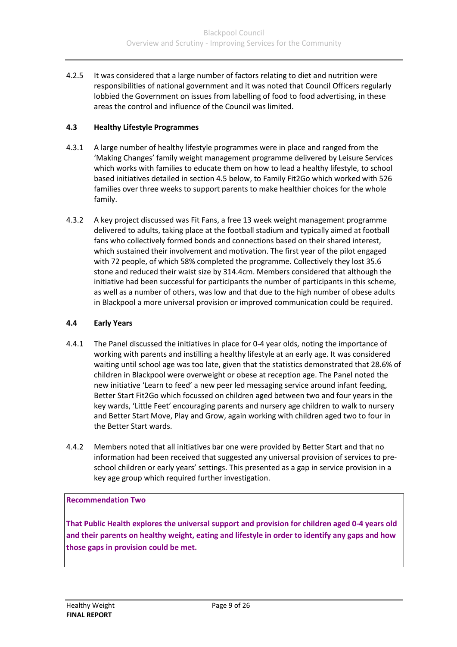4.2.5 It was considered that a large number of factors relating to diet and nutrition were responsibilities of national government and it was noted that Council Officers regularly lobbied the Government on issues from labelling of food to food advertising, in these areas the control and influence of the Council was limited.

#### **4.3 Healthy Lifestyle Programmes**

- 4.3.1 A large number of healthy lifestyle programmes were in place and ranged from the 'Making Changes' family weight management programme delivered by Leisure Services which works with families to educate them on how to lead a healthy lifestyle, to school based initiatives detailed in section 4.5 below, to Family Fit2Go which worked with 526 families over three weeks to support parents to make healthier choices for the whole family.
- 4.3.2 A key project discussed was Fit Fans, a free 13 week weight management programme delivered to adults, taking place at the football stadium and typically aimed at football fans who collectively formed bonds and connections based on their shared interest, which sustained their involvement and motivation. The first year of the pilot engaged with 72 people, of which 58% completed the programme. Collectively they lost 35.6 stone and reduced their waist size by 314.4cm. Members considered that although the initiative had been successful for participants the number of participants in this scheme, as well as a number of others, was low and that due to the high number of obese adults in Blackpool a more universal provision or improved communication could be required.

#### **4.4 Early Years**

- 4.4.1 The Panel discussed the initiatives in place for 0-4 year olds, noting the importance of working with parents and instilling a healthy lifestyle at an early age. It was considered waiting until school age was too late, given that the statistics demonstrated that 28.6% of children in Blackpool were overweight or obese at reception age. The Panel noted the new initiative 'Learn to feed' a new peer led messaging service around infant feeding, Better Start Fit2Go which focussed on children aged between two and four years in the key wards, 'Little Feet' encouraging parents and nursery age children to walk to nursery and Better Start Move, Play and Grow, again working with children aged two to four in the Better Start wards.
- 4.4.2 Members noted that all initiatives bar one were provided by Better Start and that no information had been received that suggested any universal provision of services to preschool children or early years' settings. This presented as a gap in service provision in a key age group which required further investigation.

#### **Recommendation Two**

**That Public Health explores the universal support and provision for children aged 0-4 years old and their parents on healthy weight, eating and lifestyle in order to identify any gaps and how those gaps in provision could be met.**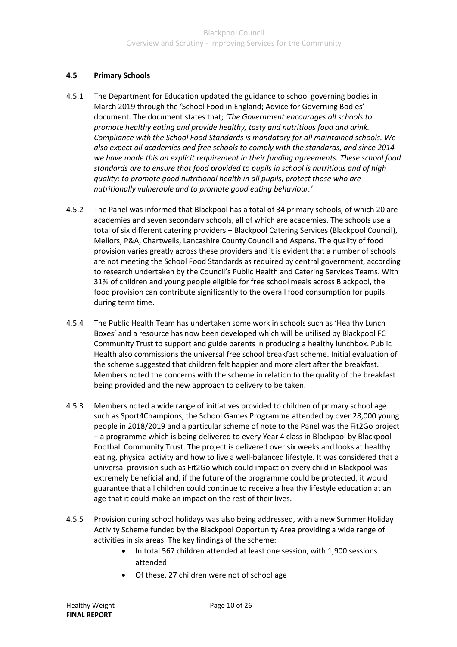#### **4.5 Primary Schools**

- 4.5.1 The Department for Education updated the guidance to school governing bodies in March 2019 through the 'School Food in England; Advice for Governing Bodies' document. The document states that; *'The Government encourages all schools to promote healthy eating and provide healthy, tasty and nutritious food and drink. Compliance with the School Food Standards is mandatory for all maintained schools. We also expect all academies and free schools to comply with the standards, and since 2014 we have made this an explicit requirement in their funding agreements. These school food standards are to ensure that food provided to pupils in school is nutritious and of high quality; to promote good nutritional health in all pupils; protect those who are nutritionally vulnerable and to promote good eating behaviour.'*
- 4.5.2 The Panel was informed that Blackpool has a total of 34 primary schools, of which 20 are academies and seven secondary schools, all of which are academies. The schools use a total of six different catering providers – Blackpool Catering Services (Blackpool Council), Mellors, P&A, Chartwells, Lancashire County Council and Aspens. The quality of food provision varies greatly across these providers and it is evident that a number of schools are not meeting the School Food Standards as required by central government, according to research undertaken by the Council's Public Health and Catering Services Teams. With 31% of children and young people eligible for free school meals across Blackpool, the food provision can contribute significantly to the overall food consumption for pupils during term time.
- 4.5.4 The Public Health Team has undertaken some work in schools such as 'Healthy Lunch Boxes' and a resource has now been developed which will be utilised by Blackpool FC Community Trust to support and guide parents in producing a healthy lunchbox. Public Health also commissions the universal free school breakfast scheme. Initial evaluation of the scheme suggested that children felt happier and more alert after the breakfast. Members noted the concerns with the scheme in relation to the quality of the breakfast being provided and the new approach to delivery to be taken.
- 4.5.3 Members noted a wide range of initiatives provided to children of primary school age such as Sport4Champions, the School Games Programme attended by over 28,000 young people in 2018/2019 and a particular scheme of note to the Panel was the Fit2Go project – a programme which is being delivered to every Year 4 class in Blackpool by Blackpool Football Community Trust. The project is delivered over six weeks and looks at healthy eating, physical activity and how to live a well-balanced lifestyle. It was considered that a universal provision such as Fit2Go which could impact on every child in Blackpool was extremely beneficial and, if the future of the programme could be protected, it would guarantee that all children could continue to receive a healthy lifestyle education at an age that it could make an impact on the rest of their lives.
- 4.5.5 Provision during school holidays was also being addressed, with a new Summer Holiday Activity Scheme funded by the Blackpool Opportunity Area providing a wide range of activities in six areas. The key findings of the scheme:
	- In total 567 children attended at least one session, with 1,900 sessions attended
	- Of these, 27 children were not of school age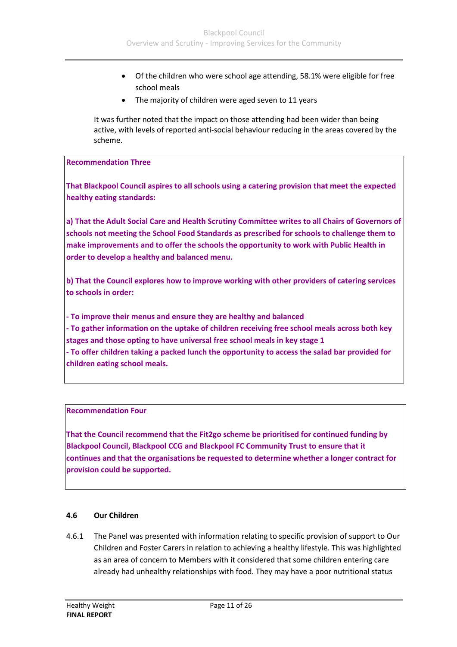- Of the children who were school age attending, 58.1% were eligible for free school meals
- The majority of children were aged seven to 11 years

It was further noted that the impact on those attending had been wider than being active, with levels of reported anti-social behaviour reducing in the areas covered by the scheme.

#### **Recommendation Three**

**That Blackpool Council aspires to all schools using a catering provision that meet the expected healthy eating standards:**

**a) That the Adult Social Care and Health Scrutiny Committee writes to all Chairs of Governors of schools not meeting the School Food Standards as prescribed for schools to challenge them to make improvements and to offer the schools the opportunity to work with Public Health in order to develop a healthy and balanced menu.**

**b) That the Council explores how to improve working with other providers of catering services to schools in order:**

**- To improve their menus and ensure they are healthy and balanced**

**- To gather information on the uptake of children receiving free school meals across both key stages and those opting to have universal free school meals in key stage 1**

**- To offer children taking a packed lunch the opportunity to access the salad bar provided for children eating school meals.**

#### **Recommendation Four**

**That the Council recommend that the Fit2go scheme be prioritised for continued funding by Blackpool Council, Blackpool CCG and Blackpool FC Community Trust to ensure that it continues and that the organisations be requested to determine whether a longer contract for provision could be supported.**

#### **4.6 Our Children**

4.6.1 The Panel was presented with information relating to specific provision of support to Our Children and Foster Carers in relation to achieving a healthy lifestyle. This was highlighted as an area of concern to Members with it considered that some children entering care already had unhealthy relationships with food. They may have a poor nutritional status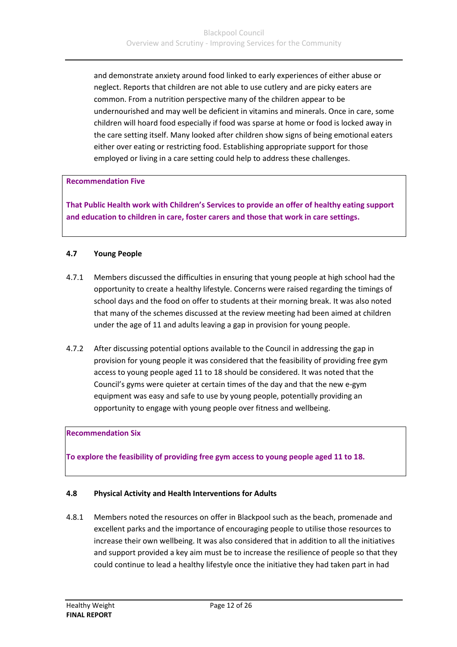and demonstrate anxiety around food linked to early experiences of either abuse or neglect. Reports that children are not able to use cutlery and are picky eaters are common. From a nutrition perspective many of the children appear to be undernourished and may well be deficient in vitamins and minerals. Once in care, some children will hoard food especially if food was sparse at home or food is locked away in the care setting itself. Many looked after children show signs of being emotional eaters either over eating or restricting food. Establishing appropriate support for those employed or living in a care setting could help to address these challenges.

#### **Recommendation Five**

**That Public Health work with Children's Services to provide an offer of healthy eating support and education to children in care, foster carers and those that work in care settings.**

#### **4.7 Young People**

- 4.7.1 Members discussed the difficulties in ensuring that young people at high school had the opportunity to create a healthy lifestyle. Concerns were raised regarding the timings of school days and the food on offer to students at their morning break. It was also noted that many of the schemes discussed at the review meeting had been aimed at children under the age of 11 and adults leaving a gap in provision for young people.
- 4.7.2 After discussing potential options available to the Council in addressing the gap in provision for young people it was considered that the feasibility of providing free gym access to young people aged 11 to 18 should be considered. It was noted that the Council's gyms were quieter at certain times of the day and that the new e-gym equipment was easy and safe to use by young people, potentially providing an opportunity to engage with young people over fitness and wellbeing.

#### **Recommendation Six**

**To explore the feasibility of providing free gym access to young people aged 11 to 18.**

#### **4.8 Physical Activity and Health Interventions for Adults**

4.8.1 Members noted the resources on offer in Blackpool such as the beach, promenade and excellent parks and the importance of encouraging people to utilise those resources to increase their own wellbeing. It was also considered that in addition to all the initiatives and support provided a key aim must be to increase the resilience of people so that they could continue to lead a healthy lifestyle once the initiative they had taken part in had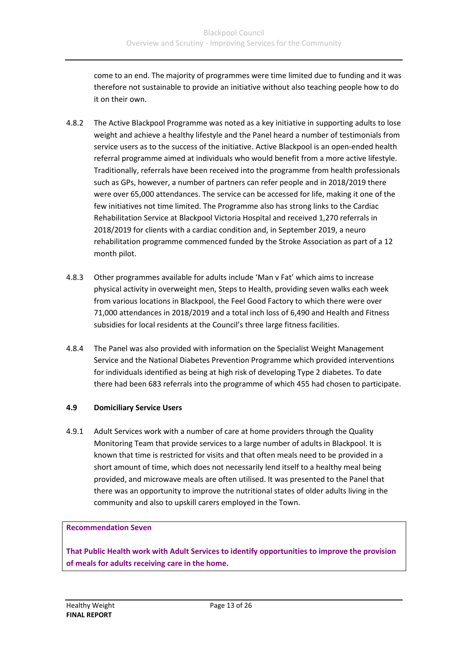come to an end. The majority of programmes were time limited due to funding and it was therefore not sustainable to provide an initiative without also teaching people how to do it on their own.

- 4.8.2 The Active Blackpool Programme was noted as a key initiative in supporting adults to lose weight and achieve a healthy lifestyle and the Panel heard a number of testimonials from service users as to the success of the initiative. Active Blackpool is an open-ended health referral programme aimed at individuals who would benefit from a more active lifestyle. Traditionally, referrals have been received into the programme from health professionals such as GPs, however, a number of partners can refer people and in 2018/2019 there were over 65,000 attendances. The service can be accessed for life, making it one of the few initiatives not time limited. The Programme also has strong links to the Cardiac Rehabilitation Service at Blackpool Victoria Hospital and received 1,270 referrals in 2018/2019 for clients with a cardiac condition and, in September 2019, a neuro rehabilitation programme commenced funded by the Stroke Association as part of a 12 month pilot.
- 4.8.3 Other programmes available for adults include 'Man v Fat' which aims to increase physical activity in overweight men, Steps to Health, providing seven walks each week from various locations in Blackpool, the Feel Good Factory to which there were over 71,000 attendances in 2018/2019 and a total inch loss of 6,490 and Health and Fitness subsidies for local residents at the Council's three large fitness facilities.
- 4.8.4 The Panel was also provided with information on the Specialist Weight Management Service and the National Diabetes Prevention Programme which provided interventions for individuals identified as being at high risk of developing Type 2 diabetes. To date there had been 683 referrals into the programme of which 455 had chosen to participate.

#### **4.9 Domiciliary Service Users**

4.9.1 Adult Services work with a number of care at home providers through the Quality Monitoring Team that provide services to a large number of adults in Blackpool. It is known that time is restricted for visits and that often meals need to be provided in a short amount of time, which does not necessarily lend itself to a healthy meal being provided, and microwave meals are often utilised. It was presented to the Panel that there was an opportunity to improve the nutritional states of older adults living in the community and also to upskill carers employed in the Town.

#### **Recommendation Seven**

**That Public Health work with Adult Services to identify opportunities to improve the provision of meals for adults receiving care in the home.**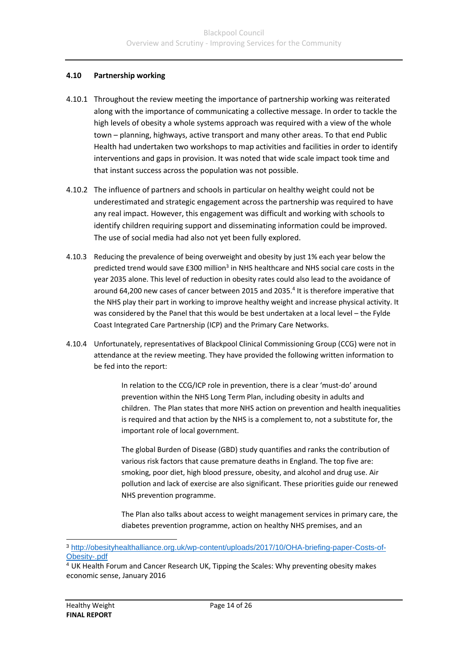#### **4.10 Partnership working**

- 4.10.1 Throughout the review meeting the importance of partnership working was reiterated along with the importance of communicating a collective message. In order to tackle the high levels of obesity a whole systems approach was required with a view of the whole town – planning, highways, active transport and many other areas. To that end Public Health had undertaken two workshops to map activities and facilities in order to identify interventions and gaps in provision. It was noted that wide scale impact took time and that instant success across the population was not possible.
- 4.10.2 The influence of partners and schools in particular on healthy weight could not be underestimated and strategic engagement across the partnership was required to have any real impact. However, this engagement was difficult and working with schools to identify children requiring support and disseminating information could be improved. The use of social media had also not yet been fully explored.
- 4.10.3 Reducing the prevalence of being overweight and obesity by just 1% each year below the predicted trend would save £300 million<sup>3</sup> in NHS healthcare and NHS social care costs in the year 2035 alone. This level of reduction in obesity rates could also lead to the avoidance of around 64,200 new cases of cancer between 2015 and 2035.<sup>4</sup> It is therefore imperative that the NHS play their part in working to improve healthy weight and increase physical activity. It was considered by the Panel that this would be best undertaken at a local level – the Fylde Coast Integrated Care Partnership (ICP) and the Primary Care Networks.
- 4.10.4 Unfortunately, representatives of Blackpool Clinical Commissioning Group (CCG) were not in attendance at the review meeting. They have provided the following written information to be fed into the report:

In relation to the CCG/ICP role in prevention, there is a clear 'must-do' around prevention within the NHS Long Term Plan, including obesity in adults and children. The Plan states that more NHS action on prevention and health inequalities is required and that action by the NHS is a complement to, not a substitute for, the important role of local government.

The global Burden of Disease (GBD) study quantifies and ranks the contribution of various risk factors that cause premature deaths in England. The top five are: smoking, poor diet, high blood pressure, obesity, and alcohol and drug use. Air pollution and lack of exercise are also significant. These priorities guide our renewed NHS prevention programme.

The Plan also talks about access to weight management services in primary care, the diabetes prevention programme, action on healthy NHS premises, and an

<sup>3</sup> [http://obesityhealthalliance.org.uk/wp-content/uploads/2017/10/OHA-briefing-paper-Costs-of-](http://obesityhealthalliance.org.uk/wp-content/uploads/2017/10/OHA-briefing-paper-Costs-of-Obesity-.pdf)[Obesity-.pdf](http://obesityhealthalliance.org.uk/wp-content/uploads/2017/10/OHA-briefing-paper-Costs-of-Obesity-.pdf)

<sup>4</sup> UK Health Forum and Cancer Research UK, Tipping the Scales: Why preventing obesity makes economic sense, January 2016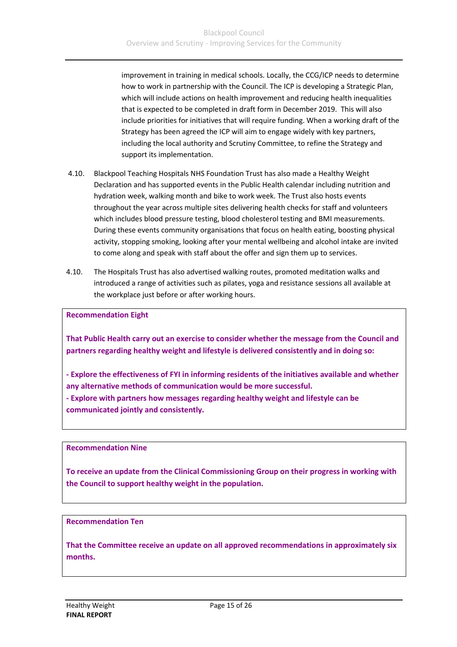improvement in training in medical schools. Locally, the CCG/ICP needs to determine how to work in partnership with the Council. The ICP is developing a Strategic Plan, which will include actions on health improvement and reducing health inequalities that is expected to be completed in draft form in December 2019. This will also include priorities for initiatives that will require funding. When a working draft of the Strategy has been agreed the ICP will aim to engage widely with key partners, including the local authority and Scrutiny Committee, to refine the Strategy and support its implementation.

- 4.10. Blackpool Teaching Hospitals NHS Foundation Trust has also made a Healthy Weight Declaration and has supported events in the Public Health calendar including nutrition and hydration week, walking month and bike to work week. The Trust also hosts events throughout the year across multiple sites delivering health checks for staff and volunteers which includes blood pressure testing, blood cholesterol testing and BMI measurements. During these events community organisations that focus on health eating, boosting physical activity, stopping smoking, looking after your mental wellbeing and alcohol intake are invited to come along and speak with staff about the offer and sign them up to services.
- 4.10. The Hospitals Trust has also advertised walking routes, promoted meditation walks and introduced a range of activities such as pilates, yoga and resistance sessions all available at the workplace just before or after working hours.

**Recommendation Eight**

**That Public Health carry out an exercise to consider whether the message from the Council and partners regarding healthy weight and lifestyle is delivered consistently and in doing so:**

**- Explore the effectiveness of FYI in informing residents of the initiatives available and whether any alternative methods of communication would be more successful.**

**- Explore with partners how messages regarding healthy weight and lifestyle can be communicated jointly and consistently.**

#### **Recommendation Nine**

**To receive an update from the Clinical Commissioning Group on their progress in working with the Council to support healthy weight in the population.**

#### **Recommendation Ten**

**That the Committee receive an update on all approved recommendations in approximately six months.**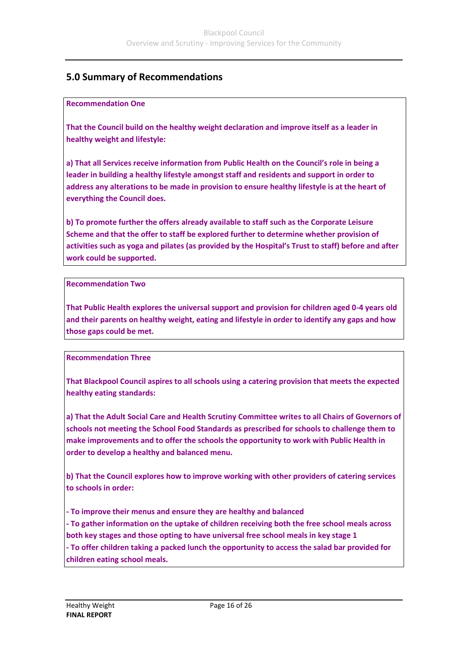### **5.0 Summary of Recommendations**

#### **Recommendation One**

**That the Council build on the healthy weight declaration and improve itself as a leader in healthy weight and lifestyle:**

**a) That all Services receive information from Public Health on the Council's role in being a leader in building a healthy lifestyle amongst staff and residents and support in order to address any alterations to be made in provision to ensure healthy lifestyle is at the heart of everything the Council does.**

**b) To promote further the offers already available to staff such as the Corporate Leisure Scheme and that the offer to staff be explored further to determine whether provision of activities such as yoga and pilates (as provided by the Hospital's Trust to staff) before and after work could be supported.**

#### **Recommendation Two**

**That Public Health explores the universal support and provision for children aged 0-4 years old and their parents on healthy weight, eating and lifestyle in order to identify any gaps and how those gaps could be met.**

#### **Recommendation Three**

**That Blackpool Council aspires to all schools using a catering provision that meets the expected healthy eating standards:**

**a) That the Adult Social Care and Health Scrutiny Committee writes to all Chairs of Governors of schools not meeting the School Food Standards as prescribed for schools to challenge them to make improvements and to offer the schools the opportunity to work with Public Health in order to develop a healthy and balanced menu.**

**b) That the Council explores how to improve working with other providers of catering services to schools in order:**

**- To improve their menus and ensure they are healthy and balanced - To gather information on the uptake of children receiving both the free school meals across both key stages and those opting to have universal free school meals in key stage 1 - To offer children taking a packed lunch the opportunity to access the salad bar provided for children eating school meals.**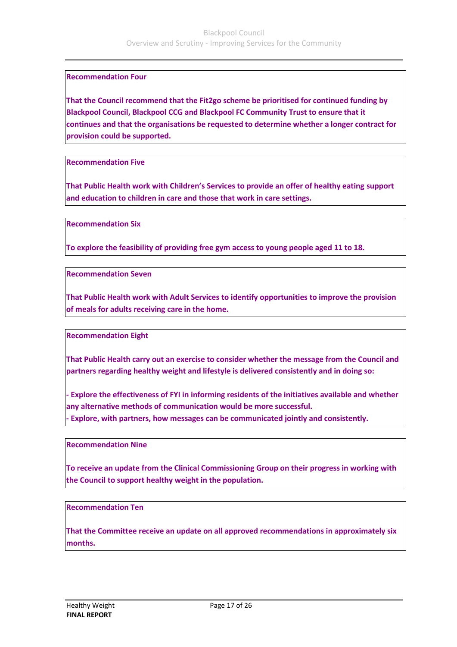#### **Recommendation Four**

**That the Council recommend that the Fit2go scheme be prioritised for continued funding by Blackpool Council, Blackpool CCG and Blackpool FC Community Trust to ensure that it continues and that the organisations be requested to determine whether a longer contract for provision could be supported.**

**Recommendation Five**

**That Public Health work with Children's Services to provide an offer of healthy eating support and education to children in care and those that work in care settings.**

**Recommendation Six**

**To explore the feasibility of providing free gym access to young people aged 11 to 18.**

**Recommendation Seven**

**That Public Health work with Adult Services to identify opportunities to improve the provision of meals for adults receiving care in the home.**

**Recommendation Eight**

**That Public Health carry out an exercise to consider whether the message from the Council and partners regarding healthy weight and lifestyle is delivered consistently and in doing so:**

**- Explore the effectiveness of FYI in informing residents of the initiatives available and whether any alternative methods of communication would be more successful. - Explore, with partners, how messages can be communicated jointly and consistently.**

**Recommendation Nine**

**To receive an update from the Clinical Commissioning Group on their progress in working with the Council to support healthy weight in the population.**

**Recommendation Ten**

**That the Committee receive an update on all approved recommendations in approximately six months.**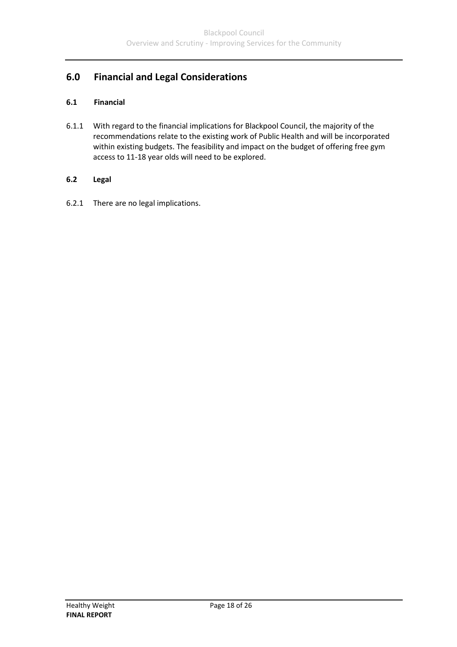# **6.0 Financial and Legal Considerations**

#### **6.1 Financial**

6.1.1 With regard to the financial implications for Blackpool Council, the majority of the recommendations relate to the existing work of Public Health and will be incorporated within existing budgets. The feasibility and impact on the budget of offering free gym access to 11-18 year olds will need to be explored.

#### **6.2 Legal**

6.2.1 There are no legal implications.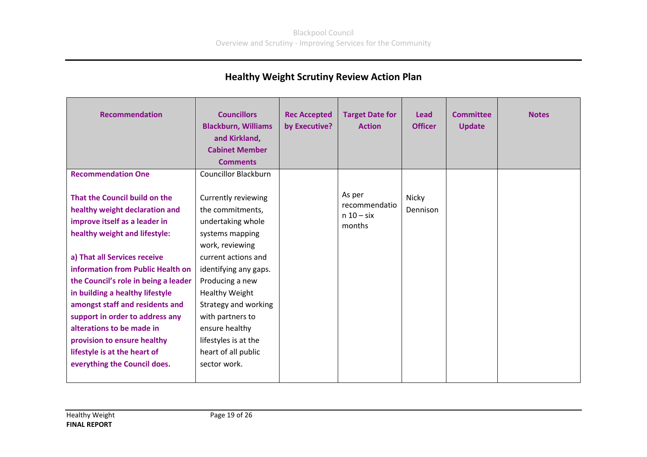# **Healthy Weight Scrutiny Review Action Plan**

| <b>Recommendation</b><br><b>Recommendation One</b>                                                                                                                                                                                                                                                                                                                                                                                                                                  | <b>Councillors</b><br><b>Blackburn, Williams</b><br>and Kirkland,<br><b>Cabinet Member</b><br><b>Comments</b><br><b>Councillor Blackburn</b>                                                                                                                                                                                | <b>Rec Accepted</b><br>by Executive? | <b>Target Date for</b><br><b>Action</b>           | <b>Lead</b><br><b>Officer</b> | <b>Committee</b><br><b>Update</b> | <b>Notes</b> |
|-------------------------------------------------------------------------------------------------------------------------------------------------------------------------------------------------------------------------------------------------------------------------------------------------------------------------------------------------------------------------------------------------------------------------------------------------------------------------------------|-----------------------------------------------------------------------------------------------------------------------------------------------------------------------------------------------------------------------------------------------------------------------------------------------------------------------------|--------------------------------------|---------------------------------------------------|-------------------------------|-----------------------------------|--------------|
| That the Council build on the<br>healthy weight declaration and<br>improve itself as a leader in<br>healthy weight and lifestyle:<br>a) That all Services receive<br>information from Public Health on<br>the Council's role in being a leader<br>in building a healthy lifestyle<br>amongst staff and residents and<br>support in order to address any<br>alterations to be made in<br>provision to ensure healthy<br>lifestyle is at the heart of<br>everything the Council does. | Currently reviewing<br>the commitments,<br>undertaking whole<br>systems mapping<br>work, reviewing<br>current actions and<br>identifying any gaps.<br>Producing a new<br><b>Healthy Weight</b><br>Strategy and working<br>with partners to<br>ensure healthy<br>lifestyles is at the<br>heart of all public<br>sector work. |                                      | As per<br>recommendatio<br>$n 10 - six$<br>months | Nicky<br>Dennison             |                                   |              |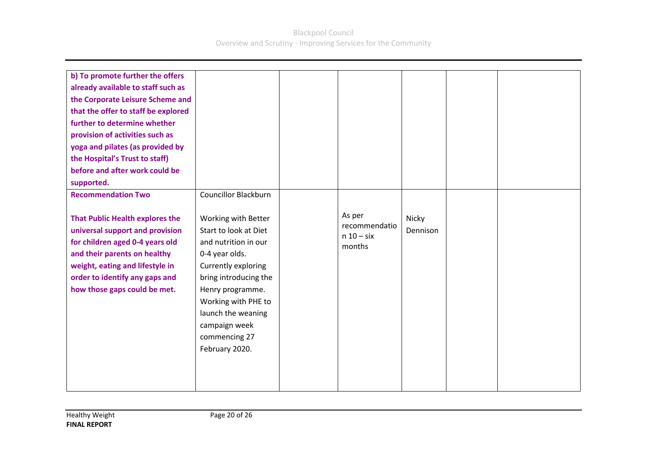| b) To promote further the offers<br>already available to staff such as<br>the Corporate Leisure Scheme and<br>that the offer to staff be explored<br>further to determine whether<br>provision of activities such as<br>yoga and pilates (as provided by<br>the Hospital's Trust to staff)<br>before and after work could be<br>supported.<br><b>Recommendation Two</b> | <b>Councillor Blackburn</b>                                                                                                                                                                                                                                 |                                                   |                   |  |
|-------------------------------------------------------------------------------------------------------------------------------------------------------------------------------------------------------------------------------------------------------------------------------------------------------------------------------------------------------------------------|-------------------------------------------------------------------------------------------------------------------------------------------------------------------------------------------------------------------------------------------------------------|---------------------------------------------------|-------------------|--|
| <b>That Public Health explores the</b><br>universal support and provision<br>for children aged 0-4 years old<br>and their parents on healthy<br>weight, eating and lifestyle in<br>order to identify any gaps and<br>how those gaps could be met.                                                                                                                       | Working with Better<br>Start to look at Diet<br>and nutrition in our<br>0-4 year olds.<br>Currently exploring<br>bring introducing the<br>Henry programme.<br>Working with PHE to<br>launch the weaning<br>campaign week<br>commencing 27<br>February 2020. | As per<br>recommendatio<br>$n 10 - six$<br>months | Nicky<br>Dennison |  |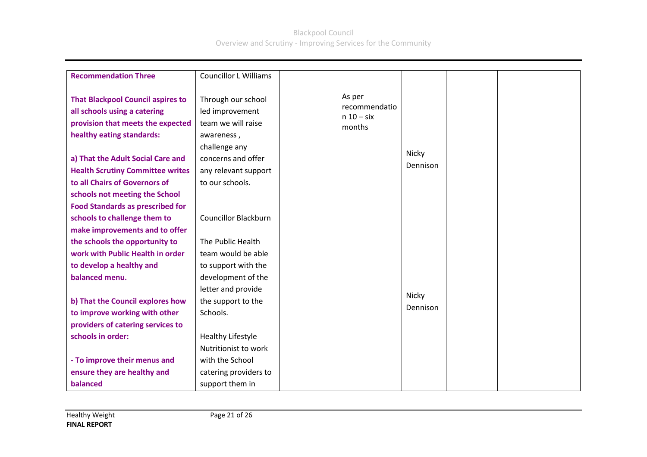| <b>Recommendation Three</b>                                                                                                                                                                                                                                                                                                              | <b>Councillor L Williams</b>                                                                                                                                |                                                   |                   |  |
|------------------------------------------------------------------------------------------------------------------------------------------------------------------------------------------------------------------------------------------------------------------------------------------------------------------------------------------|-------------------------------------------------------------------------------------------------------------------------------------------------------------|---------------------------------------------------|-------------------|--|
| <b>That Blackpool Council aspires to</b><br>all schools using a catering<br>provision that meets the expected<br>healthy eating standards:<br>a) That the Adult Social Care and<br><b>Health Scrutiny Committee writes</b><br>to all Chairs of Governors of<br>schools not meeting the School<br><b>Food Standards as prescribed for</b> | Through our school<br>led improvement<br>team we will raise<br>awareness,<br>challenge any<br>concerns and offer<br>any relevant support<br>to our schools. | As per<br>recommendatio<br>$n 10 - six$<br>months | Nicky<br>Dennison |  |
| schools to challenge them to                                                                                                                                                                                                                                                                                                             | <b>Councillor Blackburn</b>                                                                                                                                 |                                                   |                   |  |
| make improvements and to offer                                                                                                                                                                                                                                                                                                           |                                                                                                                                                             |                                                   |                   |  |
| the schools the opportunity to                                                                                                                                                                                                                                                                                                           | The Public Health                                                                                                                                           |                                                   |                   |  |
| work with Public Health in order                                                                                                                                                                                                                                                                                                         | team would be able                                                                                                                                          |                                                   |                   |  |
| to develop a healthy and                                                                                                                                                                                                                                                                                                                 | to support with the                                                                                                                                         |                                                   |                   |  |
| balanced menu.                                                                                                                                                                                                                                                                                                                           | development of the                                                                                                                                          |                                                   |                   |  |
|                                                                                                                                                                                                                                                                                                                                          | letter and provide                                                                                                                                          |                                                   | Nicky             |  |
| b) That the Council explores how                                                                                                                                                                                                                                                                                                         | the support to the                                                                                                                                          |                                                   | Dennison          |  |
| to improve working with other                                                                                                                                                                                                                                                                                                            | Schools.                                                                                                                                                    |                                                   |                   |  |
| providers of catering services to                                                                                                                                                                                                                                                                                                        |                                                                                                                                                             |                                                   |                   |  |
| schools in order:                                                                                                                                                                                                                                                                                                                        | Healthy Lifestyle                                                                                                                                           |                                                   |                   |  |
|                                                                                                                                                                                                                                                                                                                                          | Nutritionist to work                                                                                                                                        |                                                   |                   |  |
| - To improve their menus and                                                                                                                                                                                                                                                                                                             | with the School                                                                                                                                             |                                                   |                   |  |
| ensure they are healthy and                                                                                                                                                                                                                                                                                                              | catering providers to                                                                                                                                       |                                                   |                   |  |
| balanced                                                                                                                                                                                                                                                                                                                                 | support them in                                                                                                                                             |                                                   |                   |  |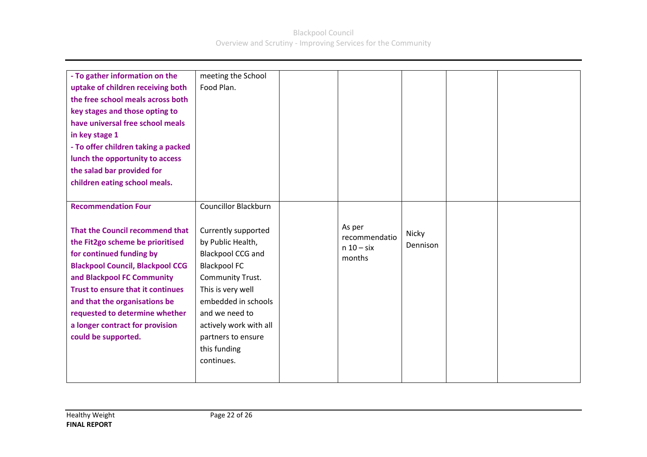| - To gather information on the<br>uptake of children receiving both<br>the free school meals across both<br>key stages and those opting to<br>have universal free school meals<br>in key stage 1<br>- To offer children taking a packed<br>lunch the opportunity to access<br>the salad bar provided for<br>children eating school meals.                                       | meeting the School<br>Food Plan.                                                                                                                                                                                                                                                    |                                                   |                   |  |
|---------------------------------------------------------------------------------------------------------------------------------------------------------------------------------------------------------------------------------------------------------------------------------------------------------------------------------------------------------------------------------|-------------------------------------------------------------------------------------------------------------------------------------------------------------------------------------------------------------------------------------------------------------------------------------|---------------------------------------------------|-------------------|--|
| <b>Recommendation Four</b><br>That the Council recommend that<br>the Fit2go scheme be prioritised<br>for continued funding by<br><b>Blackpool Council, Blackpool CCG</b><br>and Blackpool FC Community<br><b>Trust to ensure that it continues</b><br>and that the organisations be<br>requested to determine whether<br>a longer contract for provision<br>could be supported. | <b>Councillor Blackburn</b><br>Currently supported<br>by Public Health,<br>Blackpool CCG and<br><b>Blackpool FC</b><br>Community Trust.<br>This is very well<br>embedded in schools<br>and we need to<br>actively work with all<br>partners to ensure<br>this funding<br>continues. | As per<br>recommendatio<br>$n 10 - six$<br>months | Nicky<br>Dennison |  |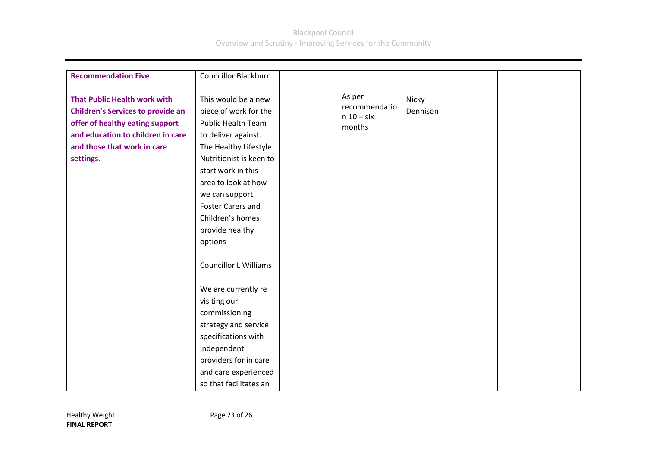| <b>Recommendation Five</b>                                                                                                                                                                          | <b>Councillor Blackburn</b>                                                                                                                                                                                                                                                                                                       |                                                   |                   |  |
|-----------------------------------------------------------------------------------------------------------------------------------------------------------------------------------------------------|-----------------------------------------------------------------------------------------------------------------------------------------------------------------------------------------------------------------------------------------------------------------------------------------------------------------------------------|---------------------------------------------------|-------------------|--|
| <b>That Public Health work with</b><br><b>Children's Services to provide an</b><br>offer of healthy eating support<br>and education to children in care<br>and those that work in care<br>settings. | This would be a new<br>piece of work for the<br><b>Public Health Team</b><br>to deliver against.<br>The Healthy Lifestyle<br>Nutritionist is keen to<br>start work in this<br>area to look at how<br>we can support<br><b>Foster Carers and</b><br>Children's homes<br>provide healthy<br>options<br><b>Councillor L Williams</b> | As per<br>recommendatio<br>$n 10 - six$<br>months | Nicky<br>Dennison |  |
|                                                                                                                                                                                                     | We are currently re<br>visiting our<br>commissioning<br>strategy and service<br>specifications with<br>independent<br>providers for in care<br>and care experienced<br>so that facilitates an                                                                                                                                     |                                                   |                   |  |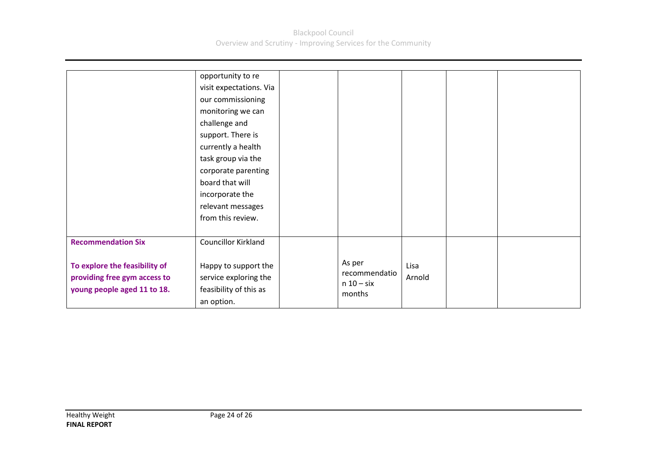|                                                                                              | opportunity to re<br>visit expectations. Via<br>our commissioning<br>monitoring we can<br>challenge and<br>support. There is<br>currently a health<br>task group via the<br>corporate parenting<br>board that will<br>incorporate the<br>relevant messages<br>from this review. |                                                   |                |  |  |
|----------------------------------------------------------------------------------------------|---------------------------------------------------------------------------------------------------------------------------------------------------------------------------------------------------------------------------------------------------------------------------------|---------------------------------------------------|----------------|--|--|
| <b>Recommendation Six</b>                                                                    | <b>Councillor Kirkland</b>                                                                                                                                                                                                                                                      |                                                   |                |  |  |
| To explore the feasibility of<br>providing free gym access to<br>young people aged 11 to 18. | Happy to support the<br>service exploring the<br>feasibility of this as<br>an option.                                                                                                                                                                                           | As per<br>recommendatio<br>$n 10 - six$<br>months | Lisa<br>Arnold |  |  |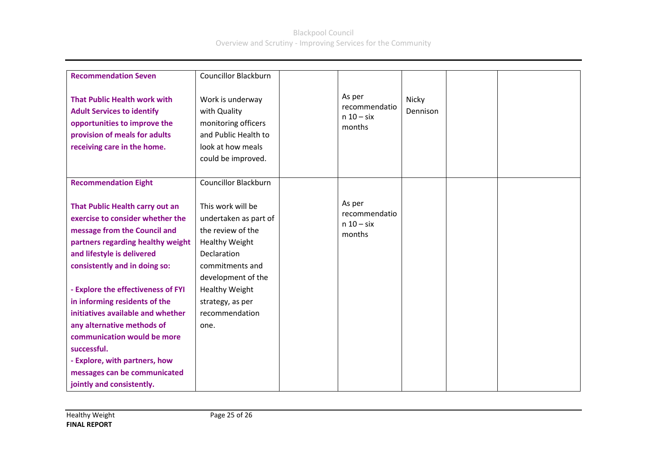| <b>Recommendation Seven</b>                                                                                                                                                                                                                   | <b>Councillor Blackburn</b>                                                                                                                                               |                                                   |                   |  |
|-----------------------------------------------------------------------------------------------------------------------------------------------------------------------------------------------------------------------------------------------|---------------------------------------------------------------------------------------------------------------------------------------------------------------------------|---------------------------------------------------|-------------------|--|
| <b>That Public Health work with</b><br><b>Adult Services to identify</b><br>opportunities to improve the<br>provision of meals for adults<br>receiving care in the home.                                                                      | Work is underway<br>with Quality<br>monitoring officers<br>and Public Health to<br>look at how meals<br>could be improved.                                                | As per<br>recommendatio<br>$n 10 - six$<br>months | Nicky<br>Dennison |  |
| <b>Recommendation Eight</b>                                                                                                                                                                                                                   | <b>Councillor Blackburn</b>                                                                                                                                               |                                                   |                   |  |
| That Public Health carry out an<br>exercise to consider whether the<br>message from the Council and<br>partners regarding healthy weight<br>and lifestyle is delivered<br>consistently and in doing so:<br>- Explore the effectiveness of FYI | This work will be<br>undertaken as part of<br>the review of the<br><b>Healthy Weight</b><br>Declaration<br>commitments and<br>development of the<br><b>Healthy Weight</b> | As per<br>recommendatio<br>$n 10 - six$<br>months |                   |  |
| in informing residents of the                                                                                                                                                                                                                 | strategy, as per                                                                                                                                                          |                                                   |                   |  |
| initiatives available and whether                                                                                                                                                                                                             | recommendation                                                                                                                                                            |                                                   |                   |  |
| any alternative methods of                                                                                                                                                                                                                    | one.                                                                                                                                                                      |                                                   |                   |  |
| communication would be more<br>successful.                                                                                                                                                                                                    |                                                                                                                                                                           |                                                   |                   |  |
| - Explore, with partners, how                                                                                                                                                                                                                 |                                                                                                                                                                           |                                                   |                   |  |
| messages can be communicated                                                                                                                                                                                                                  |                                                                                                                                                                           |                                                   |                   |  |
| jointly and consistently.                                                                                                                                                                                                                     |                                                                                                                                                                           |                                                   |                   |  |